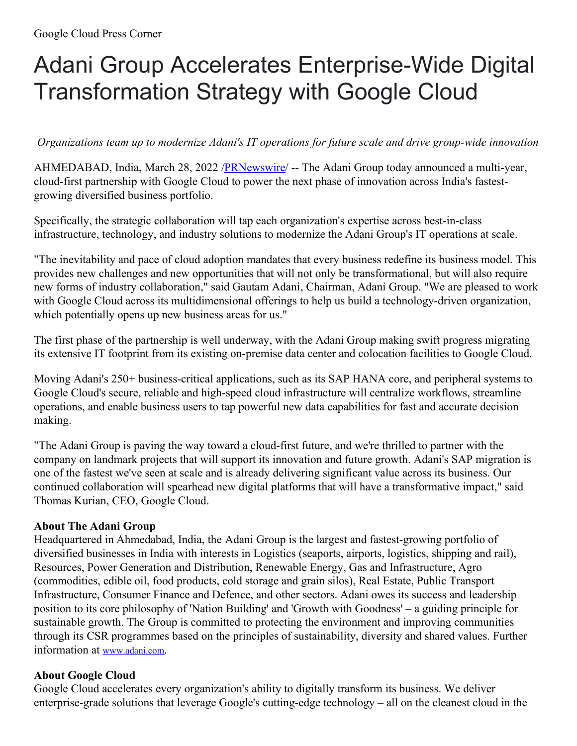## Adani Group Accelerates Enterprise-Wide Digital Transformation Strategy with Google Cloud

*Organizations team up to modernize Adani's IT operations for future scale and drive group-wide innovation*

AHMEDABAD, India, March 28, 2022 [/PRNewswire](http://www.prnewswire.com/)/ -- The Adani Group today announced a multi-year, cloud-first partnership with Google Cloud to power the next phase of innovation across India's fastestgrowing diversified business portfolio.

Specifically, the strategic collaboration will tap each organization's expertise across best-in-class infrastructure, technology, and industry solutions to modernize the Adani Group's IT operations at scale.

"The inevitability and pace of cloud adoption mandates that every business redefine its business model. This provides new challenges and new opportunities that will not only be transformational, but will also require new forms of industry collaboration," said Gautam Adani, Chairman, Adani Group. "We are pleased to work with Google Cloud across its multidimensional offerings to help us build a technology-driven organization, which potentially opens up new business areas for us."

The first phase of the partnership is well underway, with the Adani Group making swift progress migrating its extensive IT footprint from its existing on-premise data center and colocation facilities to Google Cloud.

Moving Adani's 250+ business-critical applications, such as its SAP HANA core, and peripheral systems to Google Cloud's secure, reliable and high-speed cloud infrastructure will centralize workflows, streamline operations, and enable business users to tap powerful new data capabilities for fast and accurate decision making.

"The Adani Group is paving the way toward a cloud-first future, and we're thrilled to partner with the company on landmark projects that will support its innovation and future growth. Adani's SAP migration is one of the fastest we've seen at scale and is already delivering significant value across its business. Our continued collaboration will spearhead new digital platforms that will have a transformative impact," said Thomas Kurian, CEO, Google Cloud.

## **About The Adani Group**

Headquartered in Ahmedabad, India, the Adani Group is the largest and fastest-growing portfolio of diversified businesses in India with interests in Logistics (seaports, airports, logistics, shipping and rail), Resources, Power Generation and Distribution, Renewable Energy, Gas and Infrastructure, Agro (commodities, edible oil, food products, cold storage and grain silos), Real Estate, Public Transport Infrastructure, Consumer Finance and Defence, and other sectors. Adani owes its success and leadership position to its core philosophy of 'Nation Building' and 'Growth with Goodness' – a guiding principle for sustainable growth. The Group is committed to protecting the environment and improving communities through its CSR programmes based on the principles of sustainability, diversity and shared values. Further information at [www.adani.com](https://c212.net/c/link/?t=0&l=en&o=3485990-1&h=517132556&u=http%3A%2F%2Fwww.adani.com%2F&a=www.adani.com).

## **About Google Cloud**

Google Cloud accelerates every organization's ability to digitally transform its business. We deliver enterprise-grade solutions that leverage Google's cutting-edge technology – all on the cleanest cloud in the